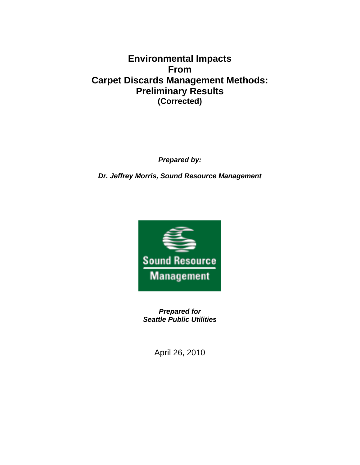# **Environmental Impacts From Carpet Discards Management Methods: Preliminary Results (Corrected)**

*Prepared by:* 

*Dr. Jeffrey Morris, Sound Resource Management* 



*Prepared for Seattle Public Utilities* 

April 26, 2010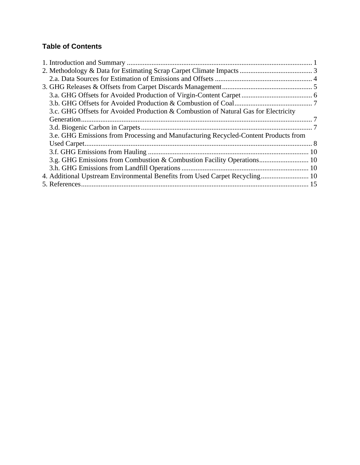#### **Table of Contents**

| 3.c. GHG Offsets for Avoided Production & Combustion of Natural Gas for Electricity |  |
|-------------------------------------------------------------------------------------|--|
|                                                                                     |  |
|                                                                                     |  |
| 3.e. GHG Emissions from Processing and Manufacturing Recycled-Content Products from |  |
|                                                                                     |  |
|                                                                                     |  |
|                                                                                     |  |
|                                                                                     |  |
| 4. Additional Upstream Environmental Benefits from Used Carpet Recycling 10         |  |
|                                                                                     |  |
|                                                                                     |  |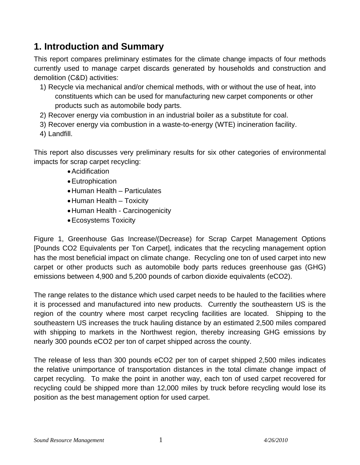# **1. Introduction and Summary**

This report compares preliminary estimates for the climate change impacts of four methods currently used to manage carpet discards generated by households and construction and demolition (C&D) activities:

- 1) Recycle via mechanical and/or chemical methods, with or without the use of heat, into constituents which can be used for manufacturing new carpet components or other products such as automobile body parts.
- 2) Recover energy via combustion in an industrial boiler as a substitute for coal.
- 3) Recover energy via combustion in a waste-to-energy (WTE) incineration facility.
- 4) Landfill.

This report also discusses very preliminary results for six other categories of environmental impacts for scrap carpet recycling:

- Acidification
- Eutrophication
- Human Health Particulates
- Human Health Toxicity
- Human Health Carcinogenicity
- Ecosystems Toxicity

Figure 1, Greenhouse Gas Increase/(Decrease) for Scrap Carpet Management Options [Pounds CO2 Equivalents per Ton Carpet], indicates that the recycling management option has the most beneficial impact on climate change. Recycling one ton of used carpet into new carpet or other products such as automobile body parts reduces greenhouse gas (GHG) emissions between 4,900 and 5,200 pounds of carbon dioxide equivalents (eCO2).

The range relates to the distance which used carpet needs to be hauled to the facilities where it is processed and manufactured into new products. Currently the southeastern US is the region of the country where most carpet recycling facilities are located. Shipping to the southeastern US increases the truck hauling distance by an estimated 2,500 miles compared with shipping to markets in the Northwest region, thereby increasing GHG emissions by nearly 300 pounds eCO2 per ton of carpet shipped across the county.

The release of less than 300 pounds eCO2 per ton of carpet shipped 2,500 miles indicates the relative unimportance of transportation distances in the total climate change impact of carpet recycling. To make the point in another way, each ton of used carpet recovered for recycling could be shipped more than 12,000 miles by truck before recycling would lose its position as the best management option for used carpet.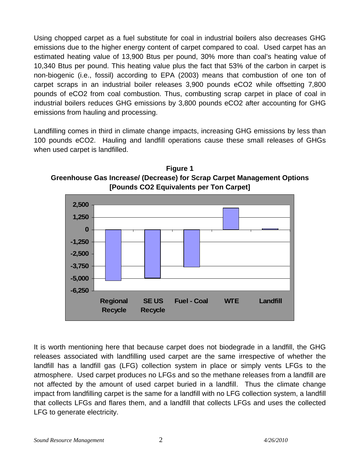Using chopped carpet as a fuel substitute for coal in industrial boilers also decreases GHG emissions due to the higher energy content of carpet compared to coal. Used carpet has an estimated heating value of 13,900 Btus per pound, 30% more than coal's heating value of 10,340 Btus per pound. This heating value plus the fact that 53% of the carbon in carpet is non-biogenic (i.e., fossil) according to EPA (2003) means that combustion of one ton of carpet scraps in an industrial boiler releases 3,900 pounds eCO2 while offsetting 7,800 pounds of eCO2 from coal combustion. Thus, combusting scrap carpet in place of coal in industrial boilers reduces GHG emissions by 3,800 pounds eCO2 after accounting for GHG emissions from hauling and processing.

Landfilling comes in third in climate change impacts, increasing GHG emissions by less than 100 pounds eCO2. Hauling and landfill operations cause these small releases of GHGs when used carpet is landfilled.



**Figure 1 Greenhouse Gas Increase/ (Decrease) for Scrap Carpet Management Options [Pounds CO2 Equivalents per Ton Carpet]** 

It is worth mentioning here that because carpet does not biodegrade in a landfill, the GHG releases associated with landfilling used carpet are the same irrespective of whether the landfill has a landfill gas (LFG) collection system in place or simply vents LFGs to the atmosphere. Used carpet produces no LFGs and so the methane releases from a landfill are not affected by the amount of used carpet buried in a landfill. Thus the climate change impact from landfilling carpet is the same for a landfill with no LFG collection system, a landfill that collects LFGs and flares them, and a landfill that collects LFGs and uses the collected LFG to generate electricity.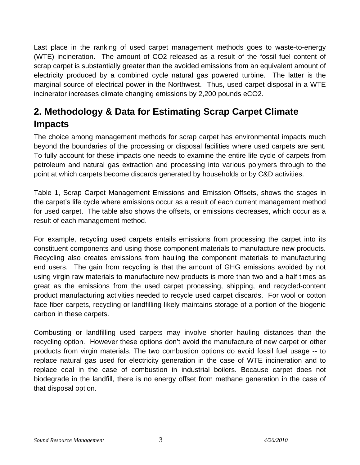Last place in the ranking of used carpet management methods goes to waste-to-energy (WTE) incineration. The amount of CO2 released as a result of the fossil fuel content of scrap carpet is substantially greater than the avoided emissions from an equivalent amount of electricity produced by a combined cycle natural gas powered turbine. The latter is the marginal source of electrical power in the Northwest. Thus, used carpet disposal in a WTE incinerator increases climate changing emissions by 2,200 pounds eCO2.

# **2. Methodology & Data for Estimating Scrap Carpet Climate Impacts**

The choice among management methods for scrap carpet has environmental impacts much beyond the boundaries of the processing or disposal facilities where used carpets are sent. To fully account for these impacts one needs to examine the entire life cycle of carpets from petroleum and natural gas extraction and processing into various polymers through to the point at which carpets become discards generated by households or by C&D activities.

Table 1, Scrap Carpet Management Emissions and Emission Offsets, shows the stages in the carpet's life cycle where emissions occur as a result of each current management method for used carpet. The table also shows the offsets, or emissions decreases, which occur as a result of each management method.

For example, recycling used carpets entails emissions from processing the carpet into its constituent components and using those component materials to manufacture new products. Recycling also creates emissions from hauling the component materials to manufacturing end users. The gain from recycling is that the amount of GHG emissions avoided by not using virgin raw materials to manufacture new products is more than two and a half times as great as the emissions from the used carpet processing, shipping, and recycled-content product manufacturing activities needed to recycle used carpet discards. For wool or cotton face fiber carpets, recycling or landfilling likely maintains storage of a portion of the biogenic carbon in these carpets.

Combusting or landfilling used carpets may involve shorter hauling distances than the recycling option. However these options don't avoid the manufacture of new carpet or other products from virgin materials. The two combustion options do avoid fossil fuel usage -- to replace natural gas used for electricity generation in the case of WTE incineration and to replace coal in the case of combustion in industrial boilers. Because carpet does not biodegrade in the landfill, there is no energy offset from methane generation in the case of that disposal option.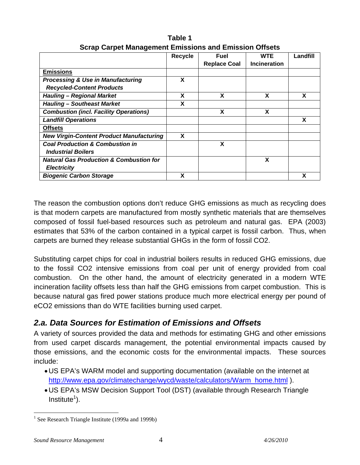|                                                    | Recycle | Fuel                | <b>WTE</b>          | Landfill |
|----------------------------------------------------|---------|---------------------|---------------------|----------|
|                                                    |         | <b>Replace Coal</b> | <b>Incineration</b> |          |
| <b>Emissions</b>                                   |         |                     |                     |          |
| <b>Processing &amp; Use in Manufacturing</b>       | X       |                     |                     |          |
| <b>Recycled-Content Products</b>                   |         |                     |                     |          |
| <b>Hauling - Regional Market</b>                   | X       | X                   | X                   | X        |
| <b>Hauling - Southeast Market</b>                  | X       |                     |                     |          |
| <b>Combustion (incl. Facility Operations)</b>      |         | X                   | X                   |          |
| <b>Landfill Operations</b>                         |         |                     |                     | X        |
| <b>Offsets</b>                                     |         |                     |                     |          |
| <b>New Virgin-Content Product Manufacturing</b>    | X       |                     |                     |          |
| <b>Coal Production &amp; Combustion in</b>         |         | X                   |                     |          |
| <b>Industrial Boilers</b>                          |         |                     |                     |          |
| <b>Natural Gas Production &amp; Combustion for</b> |         |                     | X                   |          |
| <b>Electricity</b>                                 |         |                     |                     |          |
| <b>Biogenic Carbon Storage</b>                     | X       |                     |                     | X        |

**Table 1 Scrap Carpet Management Emissions and Emission Offsets** 

The reason the combustion options don't reduce GHG emissions as much as recycling does is that modern carpets are manufactured from mostly synthetic materials that are themselves composed of fossil fuel-based resources such as petroleum and natural gas. EPA (2003) estimates that 53% of the carbon contained in a typical carpet is fossil carbon. Thus, when carpets are burned they release substantial GHGs in the form of fossil CO2.

Substituting carpet chips for coal in industrial boilers results in reduced GHG emissions, due to the fossil CO2 intensive emissions from coal per unit of energy provided from coal combustion. On the other hand, the amount of electricity generated in a modern WTE incineration facility offsets less than half the GHG emissions from carpet combustion. This is because natural gas fired power stations produce much more electrical energy per pound of eCO2 emissions than do WTE facilities burning used carpet.

### *2.a. Data Sources for Estimation of Emissions and Offsets*

A variety of sources provided the data and methods for estimating GHG and other emissions from used carpet discards management, the potential environmental impacts caused by those emissions, and the economic costs for the environmental impacts. These sources include:

- US EPA's WARM model and supporting documentation (available on the internet at http://www.epa.gov/climatechange/wycd/waste/calculators/Warm\_home.html ).
- US EPA's MSW Decision Support Tool (DST) (available through Research Triangle  $Institute<sup>1</sup>).$

<sup>&</sup>lt;sup>1</sup> See Research Triangle Institute (1999a and 1999b)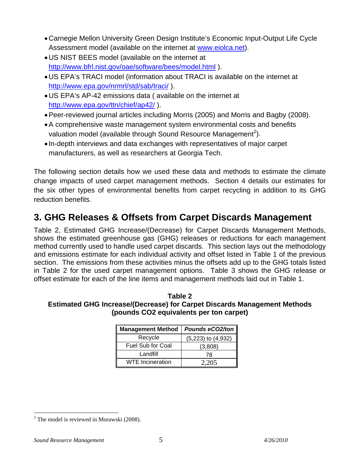- Carnegie Mellon University Green Design Institute's Economic Input-Output Life Cycle Assessment model (available on the internet at www.eiolca.net).
- US NIST BEES model (available on the internet at http://www.bfrl.nist.gov/oae/software/bees/model.html ).
- US EPA's TRACI model (information about TRACI is available on the internet at http://www.epa.gov/nrmrl/std/sab/traci/).
- US EPA's AP-42 emissions data ( available on the internet at http://www.epa.gov/ttn/chief/ap42/ ).
- Peer-reviewed journal articles including Morris (2005) and Morris and Bagby (2008).
- A comprehensive waste management system environmental costs and benefits valuation model (available through Sound Resource Management<sup>2</sup>).
- In-depth interviews and data exchanges with representatives of major carpet manufacturers, as well as researchers at Georgia Tech.

The following section details how we used these data and methods to estimate the climate change impacts of used carpet management methods. Section 4 details our estimates for the six other types of environmental benefits from carpet recycling in addition to its GHG reduction benefits.

# **3. GHG Releases & Offsets from Carpet Discards Management**

Table 2, Estimated GHG Increase/(Decrease) for Carpet Discards Management Methods, shows the estimated greenhouse gas (GHG) releases or reductions for each management method currently used to handle used carpet discards. This section lays out the methodology and emissions estimate for each individual activity and offset listed in Table 1 of the previous section. The emissions from these activities minus the offsets add up to the GHG totals listed in Table 2 for the used carpet management options. Table 3 shows the GHG release or offset estimate for each of the line items and management methods laid out in Table 1.

#### **Table 2 Estimated GHG Increase/(Decrease) for Carpet Discards Management Methods (pounds CO2 equivalents per ton carpet)**

| <b>Management Method</b> | Pounds eCO2/ton        |
|--------------------------|------------------------|
| Recycle                  | $(5,223)$ to $(4,932)$ |
| <b>Fuel Sub for Coal</b> | (3,808)                |
| Landfill                 | 78                     |
| <b>WTE</b> Incineration  | 2.205                  |

 $2$  The model is reviewed in Morawski (2008).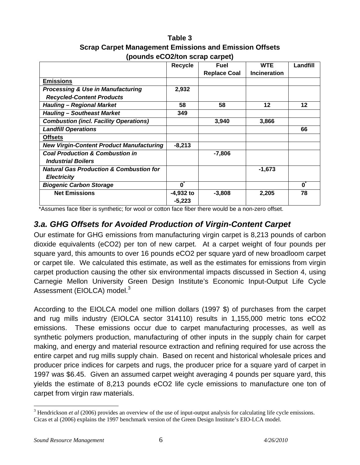**Table 3 Scrap Carpet Management Emissions and Emission Offsets (pounds eCO2/ton scrap carpet)** 

|                                                    | <b>Recycle</b> | Fuel                | <b>WTE</b>   | Landfill     |
|----------------------------------------------------|----------------|---------------------|--------------|--------------|
|                                                    |                | <b>Replace Coal</b> | Incineration |              |
| <u>Emissions</u>                                   |                |                     |              |              |
| <b>Processing &amp; Use in Manufacturing</b>       | 2,932          |                     |              |              |
| <b>Recycled-Content Products</b>                   |                |                     |              |              |
| <b>Hauling - Regional Market</b>                   | 58             | 58                  | 12           | 12           |
| <b>Hauling - Southeast Market</b>                  | 349            |                     |              |              |
| <b>Combustion (incl. Facility Operations)</b>      |                | 3,940               | 3,866        |              |
| <b>Landfill Operations</b>                         |                |                     |              | 66           |
| <b>Offsets</b>                                     |                |                     |              |              |
| <b>New Virgin-Content Product Manufacturing</b>    | $-8,213$       |                     |              |              |
| <b>Coal Production &amp; Combustion in</b>         |                | $-7,806$            |              |              |
| <b>Industrial Boilers</b>                          |                |                     |              |              |
| <b>Natural Gas Production &amp; Combustion for</b> |                |                     | $-1,673$     |              |
| <b>Electricity</b>                                 |                |                     |              |              |
| <b>Biogenic Carbon Storage</b>                     | $\mathbf{0}$   |                     |              | $\mathbf{0}$ |
| <b>Net Emissions</b>                               | -4,932 to      | $-3,808$            | 2,205        | 78           |
|                                                    | $-5,223$       |                     |              |              |

\*Assumes face fiber is synthetic; for wool or cotton face fiber there would be a non-zero offset.

## *3.a. GHG Offsets for Avoided Production of Virgin-Content Carpet*

Our estimate for GHG emissions from manufacturing virgin carpet is 8,213 pounds of carbon dioxide equivalents (eCO2) per ton of new carpet. At a carpet weight of four pounds per square yard, this amounts to over 16 pounds eCO2 per square yard of new broadloom carpet or carpet tile. We calculated this estimate, as well as the estimates for emissions from virgin carpet production causing the other six environmental impacts discussed in Section 4, using Carnegie Mellon University Green Design Institute's Economic Input-Output Life Cycle Assessment (EIOLCA) model.<sup>3</sup>

According to the EIOLCA model one million dollars (1997 \$) of purchases from the carpet and rug mills industry (EIOLCA sector 314110) results in 1,155,000 metric tons eCO2 emissions. These emissions occur due to carpet manufacturing processes, as well as synthetic polymers production, manufacturing of other inputs in the supply chain for carpet making, and energy and material resource extraction and refining required for use across the entire carpet and rug mills supply chain. Based on recent and historical wholesale prices and producer price indices for carpets and rugs, the producer price for a square yard of carpet in 1997 was \$6.45. Given an assumed carpet weight averaging 4 pounds per square yard, this yields the estimate of 8,213 pounds eCO2 life cycle emissions to manufacture one ton of carpet from virgin raw materials.

<sup>&</sup>lt;sup>3</sup> Hendrickson *et al* (2006) provides an overview of the use of input-output analysis for calculating life cycle emissions. Cicas et al (2006) explains the 1997 benchmark version of the Green Design Institute's EIO-LCA model.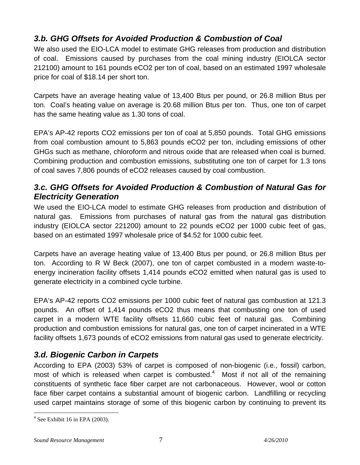## *3.b. GHG Offsets for Avoided Production & Combustion of Coal*

We also used the EIO-LCA model to estimate GHG releases from production and distribution of coal. Emissions caused by purchases from the coal mining industry (EIOLCA sector 212100) amount to 161 pounds eCO2 per ton of coal, based on an estimated 1997 wholesale price for coal of \$18.14 per short ton.

Carpets have an average heating value of 13,400 Btus per pound, or 26.8 million Btus per ton. Coal's heating value on average is 20.68 million Btus per ton. Thus, one ton of carpet has the same heating value as 1.30 tons of coal.

EPA's AP-42 reports CO2 emissions per ton of coal at 5,850 pounds. Total GHG emissions from coal combustion amount to 5,863 pounds eCO2 per ton, including emissions of other GHGs such as methane, chloroform and nitrous oxide that are released when coal is burned. Combining production and combustion emissions, substituting one ton of carpet for 1.3 tons of coal saves 7,806 pounds of eCO2 releases caused by coal combustion.

### *3.c. GHG Offsets for Avoided Production & Combustion of Natural Gas for Electricity Generation*

We used the EIO-LCA model to estimate GHG releases from production and distribution of natural gas. Emissions from purchases of natural gas from the natural gas distribution industry (EIOLCA sector 221200) amount to 22 pounds eCO2 per 1000 cubic feet of gas, based on an estimated 1997 wholesale price of \$4.52 for 1000 cubic feet.

Carpets have an average heating value of 13,400 Btus per pound, or 26.8 million Btus per ton. According to R W Beck (2007), one ton of carpet combusted in a modern waste-toenergy incineration facility offsets 1,414 pounds eCO2 emitted when natural gas is used to generate electricity in a combined cycle turbine.

EPA's AP-42 reports CO2 emissions per 1000 cubic feet of natural gas combustion at 121.3 pounds. An offset of 1,414 pounds eCO2 thus means that combusting one ton of used carpet in a modern WTE facility offsets 11,660 cubic feet of natural gas. Combining production and combustion emissions for natural gas, one ton of carpet incinerated in a WTE facility offsets 1,673 pounds of eCO2 emissions from natural gas used to generate electricity.

# *3.d. Biogenic Carbon in Carpets*

According to EPA (2003) 53% of carpet is composed of non-biogenic (i.e., fossil) carbon, most of which is released when carpet is combusted.<sup>4</sup> Most if not all of the remaining constituents of synthetic face fiber carpet are not carbonaceous. However, wool or cotton face fiber carpet contains a substantial amount of biogenic carbon. Landfilling or recycling used carpet maintains storage of some of this biogenic carbon by continuing to prevent its

 4 See Exhibit 16 in EPA (2003).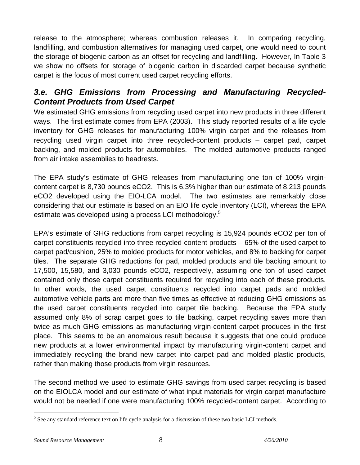release to the atmosphere; whereas combustion releases it. In comparing recycling, landfilling, and combustion alternatives for managing used carpet, one would need to count the storage of biogenic carbon as an offset for recycling and landfilling. However, In Table 3 we show no offsets for storage of biogenic carbon in discarded carpet because synthetic carpet is the focus of most current used carpet recycling efforts.

### *3.e. GHG Emissions from Processing and Manufacturing Recycled-Content Products from Used Carpet*

We estimated GHG emissions from recycling used carpet into new products in three different ways. The first estimate comes from EPA (2003). This study reported results of a life cycle inventory for GHG releases for manufacturing 100% virgin carpet and the releases from recycling used virgin carpet into three recycled-content products – carpet pad, carpet backing, and molded products for automobiles. The molded automotive products ranged from air intake assemblies to headrests.

The EPA study's estimate of GHG releases from manufacturing one ton of 100% virgincontent carpet is 8,730 pounds eCO2. This is 6.3% higher than our estimate of 8,213 pounds eCO2 developed using the EIO-LCA model. The two estimates are remarkably close considering that our estimate is based on an EIO life cycle inventory (LCI), whereas the EPA estimate was developed using a process LCI methodology.<sup>5</sup>

EPA's estimate of GHG reductions from carpet recycling is 15,924 pounds eCO2 per ton of carpet constituents recycled into three recycled-content products – 65% of the used carpet to carpet pad/cushion, 25% to molded products for motor vehicles, and 8% to backing for carpet tiles. The separate GHG reductions for pad, molded products and tile backing amount to 17,500, 15,580, and 3,030 pounds eCO2, respectively, assuming one ton of used carpet contained only those carpet constituents required for recycling into each of these products. In other words, the used carpet constituents recycled into carpet pads and molded automotive vehicle parts are more than five times as effective at reducing GHG emissions as the used carpet constituents recycled into carpet tile backing. Because the EPA study assumed only 8% of scrap carpet goes to tile backing, carpet recycling saves more than twice as much GHG emissions as manufacturing virgin-content carpet produces in the first place. This seems to be an anomalous result because it suggests that one could produce new products at a lower environmental impact by manufacturing virgin-content carpet and immediately recycling the brand new carpet into carpet pad and molded plastic products, rather than making those products from virgin resources.

The second method we used to estimate GHG savings from used carpet recycling is based on the EIOLCA model and our estimate of what input materials for virgin carpet manufacture would not be needed if one were manufacturing 100% recycled-content carpet. According to

 $<sup>5</sup>$  See any standard reference text on life cycle analysis for a discussion of these two basic LCI methods.</sup>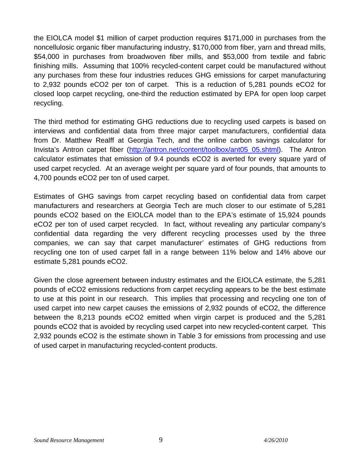the EIOLCA model \$1 million of carpet production requires \$171,000 in purchases from the noncellulosic organic fiber manufacturing industry, \$170,000 from fiber, yarn and thread mills, \$54,000 in purchases from broadwoven fiber mills, and \$53,000 from textile and fabric finishing mills. Assuming that 100% recycled-content carpet could be manufactured without any purchases from these four industries reduces GHG emissions for carpet manufacturing to 2,932 pounds eCO2 per ton of carpet. This is a reduction of 5,281 pounds eCO2 for closed loop carpet recycling, one-third the reduction estimated by EPA for open loop carpet recycling.

The third method for estimating GHG reductions due to recycling used carpets is based on interviews and confidential data from three major carpet manufacturers, confidential data from Dr. Matthew Realff at Georgia Tech, and the online carbon savings calculator for Invista's Antron carpet fiber (http://antron.net/content/toolbox/ant05\_05.shtml). The Antron calculator estimates that emission of 9.4 pounds eCO2 is averted for every square yard of used carpet recycled. At an average weight per square yard of four pounds, that amounts to 4,700 pounds eCO2 per ton of used carpet.

Estimates of GHG savings from carpet recycling based on confidential data from carpet manufacturers and researchers at Georgia Tech are much closer to our estimate of 5,281 pounds eCO2 based on the EIOLCA model than to the EPA's estimate of 15,924 pounds eCO2 per ton of used carpet recycled. In fact, without revealing any particular company's confidential data regarding the very different recycling processes used by the three companies, we can say that carpet manufacturer' estimates of GHG reductions from recycling one ton of used carpet fall in a range between 11% below and 14% above our estimate 5,281 pounds eCO2.

Given the close agreement between industry estimates and the EIOLCA estimate, the 5,281 pounds of eCO2 emissions reductions from carpet recycling appears to be the best estimate to use at this point in our research. This implies that processing and recycling one ton of used carpet into new carpet causes the emissions of 2,932 pounds of eCO2, the difference between the 8,213 pounds eCO2 emitted when virgin carpet is produced and the 5,281 pounds eCO2 that is avoided by recycling used carpet into new recycled-content carpet. This 2,932 pounds eCO2 is the estimate shown in Table 3 for emissions from processing and use of used carpet in manufacturing recycled-content products.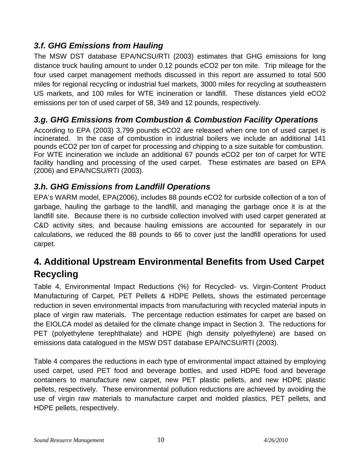# *3.f. GHG Emissions from Hauling*

The MSW DST database EPA/NCSU/RTI (2003) estimates that GHG emissions for long distance truck hauling amount to under 0.12 pounds eCO2 per ton mile. Trip mileage for the four used carpet management methods discussed in this report are assumed to total 500 miles for regional recycling or industrial fuel markets, 3000 miles for recycling at southeastern US markets, and 100 miles for WTE incineration or landfill. These distances yield eCO2 emissions per ton of used carpet of 58, 349 and 12 pounds, respectively.

# *3.g. GHG Emissions from Combustion & Combustion Facility Operations*

According to EPA (2003) 3,799 pounds eCO2 are released when one ton of used carpet is incinerated. In the case of combustion in industrial boilers we include an additional 141 pounds eCO2 per ton of carpet for processing and chipping to a size suitable for combustion. For WTE incineration we include an additional 67 pounds eCO2 per ton of carpet for WTE facility handling and processing of the used carpet. These estimates are based on EPA (2006) and EPA/NCSU/RTI (2003).

### *3.h. GHG Emissions from Landfill Operations*

EPA's WARM model, EPA(2006), includes 88 pounds eCO2 for curbside collection of a ton of garbage, hauling the garbage to the landfill, and managing the garbage once it is at the landfill site. Because there is no curbside collection involved with used carpet generated at C&D activity sites, and because hauling emissions are accounted for separately in our calculations, we reduced the 88 pounds to 66 to cover just the landfill operations for used carpet.

# **4. Additional Upstream Environmental Benefits from Used Carpet Recycling**

Table 4, Environmental Impact Reductions (%) for Recycled- vs. Virgin-Content Product Manufacturing of Carpet, PET Pellets & HDPE Pellets, shows the estimated percentage reduction in seven environmental impacts from manufacturing with recycled material inputs in place of virgin raw materials. The percentage reduction estimates for carpet are based on the EIOLCA model as detailed for the climate change impact in Section 3. The reductions for PET (polyethylene terephthalate) and HDPE (high density polyethylene) are based on emissions data catalogued in the MSW DST database EPA/NCSU/RTI (2003).

Table 4 compares the reductions in each type of environmental impact attained by employing used carpet, used PET food and beverage bottles, and used HDPE food and beverage containers to manufacture new carpet, new PET plastic pellets, and new HDPE plastic pellets, respectively. These environmental pollution reductions are achieved by avoiding the use of virgin raw materials to manufacture carpet and molded plastics, PET pellets, and HDPE pellets, respectively.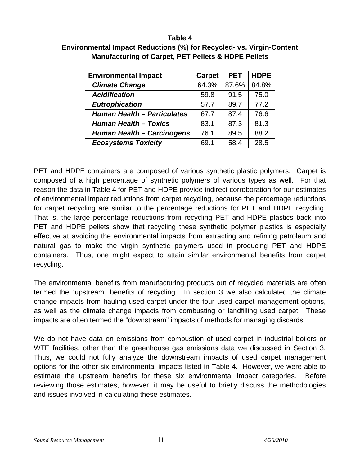#### **Table 4**

| <b>Environmental Impact</b>        | <b>Carpet</b> | <b>PET</b> | <b>HDPE</b> |
|------------------------------------|---------------|------------|-------------|
| <b>Climate Change</b>              | 64.3%         | 87.6%      | 84.8%       |
| <b>Acidification</b>               | 59.8          | 91.5       | 75.0        |
| <b>Eutrophication</b>              | 57.7          | 89.7       | 77.2        |
| <b>Human Health - Particulates</b> | 67.7          | 87.4       | 76.6        |
| <b>Human Health - Toxics</b>       | 83.1          | 87.3       | 81.3        |
| <b>Human Health - Carcinogens</b>  | 76.1          | 89.5       | 88.2        |
| <b>Ecosystems Toxicity</b>         | 69.1          | 58.4       | 28.5        |

#### **Environmental Impact Reductions (%) for Recycled- vs. Virgin-Content Manufacturing of Carpet, PET Pellets & HDPE Pellets**

PET and HDPE containers are composed of various synthetic plastic polymers. Carpet is composed of a high percentage of synthetic polymers of various types as well. For that reason the data in Table 4 for PET and HDPE provide indirect corroboration for our estimates of environmental impact reductions from carpet recycling, because the percentage reductions for carpet recycling are similar to the percentage reductions for PET and HDPE recycling. That is, the large percentage reductions from recycling PET and HDPE plastics back into PET and HDPE pellets show that recycling these synthetic polymer plastics is especially effective at avoiding the environmental impacts from extracting and refining petroleum and natural gas to make the virgin synthetic polymers used in producing PET and HDPE containers. Thus, one might expect to attain similar environmental benefits from carpet recycling.

The environmental benefits from manufacturing products out of recycled materials are often termed the "upstream" benefits of recycling. In section 3 we also calculated the climate change impacts from hauling used carpet under the four used carpet management options, as well as the climate change impacts from combusting or landfilling used carpet. These impacts are often termed the "downstream" impacts of methods for managing discards.

We do not have data on emissions from combustion of used carpet in industrial boilers or WTE facilities, other than the greenhouse gas emissions data we discussed in Section 3. Thus, we could not fully analyze the downstream impacts of used carpet management options for the other six environmental impacts listed in Table 4. However, we were able to estimate the upstream benefits for these six environmental impact categories. Before reviewing those estimates, however, it may be useful to briefly discuss the methodologies and issues involved in calculating these estimates.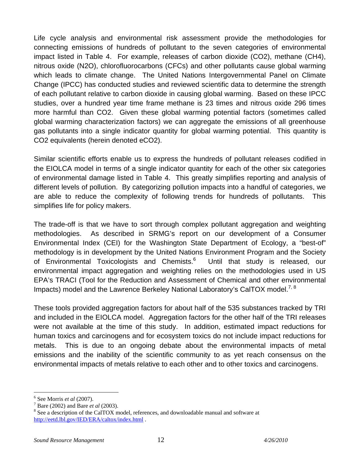Life cycle analysis and environmental risk assessment provide the methodologies for connecting emissions of hundreds of pollutant to the seven categories of environmental impact listed in Table 4. For example, releases of carbon dioxide (CO2), methane (CH4), nitrous oxide (N2O), chlorofluorocarbons (CFCs) and other pollutants cause global warming which leads to climate change. The United Nations Intergovernmental Panel on Climate Change (IPCC) has conducted studies and reviewed scientific data to determine the strength of each pollutant relative to carbon dioxide in causing global warming. Based on these IPCC studies, over a hundred year time frame methane is 23 times and nitrous oxide 296 times more harmful than CO2. Given these global warming potential factors (sometimes called global warming characterization factors) we can aggregate the emissions of all greenhouse gas pollutants into a single indicator quantity for global warming potential. This quantity is CO2 equivalents (herein denoted eCO2).

Similar scientific efforts enable us to express the hundreds of pollutant releases codified in the EIOLCA model in terms of a single indicator quantity for each of the other six categories of environmental damage listed in Table 4. This greatly simplifies reporting and analysis of different levels of pollution. By categorizing pollution impacts into a handful of categories, we are able to reduce the complexity of following trends for hundreds of pollutants. This simplifies life for policy makers.

The trade-off is that we have to sort through complex pollutant aggregation and weighting methodologies. As described in SRMG's report on our development of a Consumer Environmental Index (CEI) for the Washington State Department of Ecology, a "best-of" methodology is in development by the United Nations Environment Program and the Society of Environmental Toxicologists and Chemists.<sup>6</sup> Until that study is released, our environmental impact aggregation and weighting relies on the methodologies used in US EPA's TRACI (Tool for the Reduction and Assessment of Chemical and other environmental Impacts) model and the Lawrence Berkeley National Laboratory's CalTOX model.<sup>7, 8</sup>

These tools provided aggregation factors for about half of the 535 substances tracked by TRI and included in the EIOLCA model. Aggregation factors for the other half of the TRI releases were not available at the time of this study. In addition, estimated impact reductions for human toxics and carcinogens and for ecosystem toxics do not include impact reductions for metals. This is due to an ongoing debate about the environmental impacts of metal emissions and the inability of the scientific community to as yet reach consensus on the environmental impacts of metals relative to each other and to other toxics and carcinogens.

 $<sup>6</sup>$  See Morris *et al* (2007).</sup>  $^6$  See Morris *et al* (2007).<br> $^7$  Pere (2002) and Pere *et* 

Bare (2002) and Bare *et al* (2003).<sup>8</sup> See a description of the CalTOV m

<sup>&</sup>lt;sup>8</sup> See a description of the CalTOX model, references, and downloadable manual and software at http://eetd.lbl.gov/IED/ERA/caltox/index.html .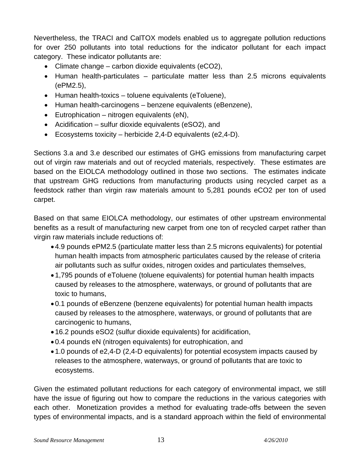Nevertheless, the TRACI and CalTOX models enabled us to aggregate pollution reductions for over 250 pollutants into total reductions for the indicator pollutant for each impact category. These indicator pollutants are:

- Climate change carbon dioxide equivalents (eCO2),
- Human health-particulates particulate matter less than 2.5 microns equivalents (ePM2.5),
- Human health-toxics toluene equivalents (eToluene),
- Human health-carcinogens benzene equivalents (eBenzene),
- Eutrophication nitrogen equivalents (eN),
- Acidification sulfur dioxide equivalents (eSO2), and
- Ecosystems toxicity herbicide  $2,4$ -D equivalents (e2,4-D).

Sections 3.a and 3.e described our estimates of GHG emissions from manufacturing carpet out of virgin raw materials and out of recycled materials, respectively. These estimates are based on the EIOLCA methodology outlined in those two sections. The estimates indicate that upstream GHG reductions from manufacturing products using recycled carpet as a feedstock rather than virgin raw materials amount to 5,281 pounds eCO2 per ton of used carpet.

Based on that same EIOLCA methodology, our estimates of other upstream environmental benefits as a result of manufacturing new carpet from one ton of recycled carpet rather than virgin raw materials include reductions of:

- 4.9 pounds ePM2.5 (particulate matter less than 2.5 microns equivalents) for potential human health impacts from atmospheric particulates caused by the release of criteria air pollutants such as sulfur oxides, nitrogen oxides and particulates themselves,
- 1,795 pounds of eToluene (toluene equivalents) for potential human health impacts caused by releases to the atmosphere, waterways, or ground of pollutants that are toxic to humans,
- 0.1 pounds of eBenzene (benzene equivalents) for potential human health impacts caused by releases to the atmosphere, waterways, or ground of pollutants that are carcinogenic to humans,
- 16.2 pounds eSO2 (sulfur dioxide equivalents) for acidification,
- 0.4 pounds eN (nitrogen equivalents) for eutrophication, and
- 1.0 pounds of e2,4-D (2,4-D equivalents) for potential ecosystem impacts caused by releases to the atmosphere, waterways, or ground of pollutants that are toxic to ecosystems.

Given the estimated pollutant reductions for each category of environmental impact, we still have the issue of figuring out how to compare the reductions in the various categories with each other. Monetization provides a method for evaluating trade-offs between the seven types of environmental impacts, and is a standard approach within the field of environmental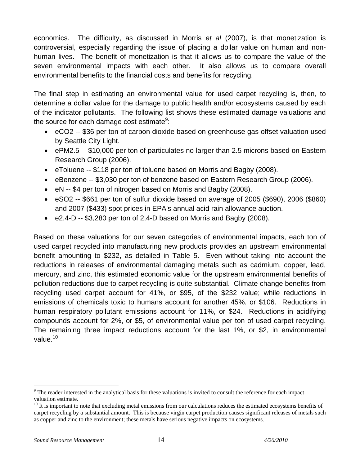economics. The difficulty, as discussed in Morris *et al* (2007), is that monetization is controversial, especially regarding the issue of placing a dollar value on human and nonhuman lives. The benefit of monetization is that it allows us to compare the value of the seven environmental impacts with each other. It also allows us to compare overall environmental benefits to the financial costs and benefits for recycling.

The final step in estimating an environmental value for used carpet recycling is, then, to determine a dollar value for the damage to public health and/or ecosystems caused by each of the indicator pollutants. The following list shows these estimated damage valuations and the source for each damage cost estimate $9$ :

- eCO2 -- \$36 per ton of carbon dioxide based on greenhouse gas offset valuation used by Seattle City Light.
- ePM2.5 -- \$10,000 per ton of particulates no larger than 2.5 microns based on Eastern Research Group (2006).
- eToluene -- \$118 per ton of toluene based on Morris and Bagby (2008).
- eBenzene -- \$3,030 per ton of benzene based on Eastern Research Group (2006).
- eN -- \$4 per ton of nitrogen based on Morris and Bagby (2008).
- eSO2 -- \$661 per ton of sulfur dioxide based on average of 2005 (\$690), 2006 (\$860) and 2007 (\$433) spot prices in EPA's annual acid rain allowance auction.
- $\bullet$  e2,4-D -- \$3,280 per ton of 2,4-D based on Morris and Bagby (2008).

Based on these valuations for our seven categories of environmental impacts, each ton of used carpet recycled into manufacturing new products provides an upstream environmental benefit amounting to \$232, as detailed in Table 5. Even without taking into account the reductions in releases of environmental damaging metals such as cadmium, copper, lead, mercury, and zinc, this estimated economic value for the upstream environmental benefits of pollution reductions due to carpet recycling is quite substantial. Climate change benefits from recycling used carpet account for 41%, or \$95, of the \$232 value; while reductions in emissions of chemicals toxic to humans account for another 45%, or \$106. Reductions in human respiratory pollutant emissions account for 11%, or \$24. Reductions in acidifying compounds account for 2%, or \$5, of environmental value per ton of used carpet recycling. The remaining three impact reductions account for the last 1%, or \$2, in environmental value.<sup>10</sup>

 $\overline{a}$  $9<sup>9</sup>$  The reader interested in the analytical basis for these valuations is invited to consult the reference for each impact valuation estimate.

 $10$  It is important to note that excluding metal emissions from our calculations reduces the estimated ecosystems benefits of carpet recycling by a substantial amount. This is because virgin carpet production causes significant releases of metals such as copper and zinc to the environment; these metals have serious negative impacts on ecosystems.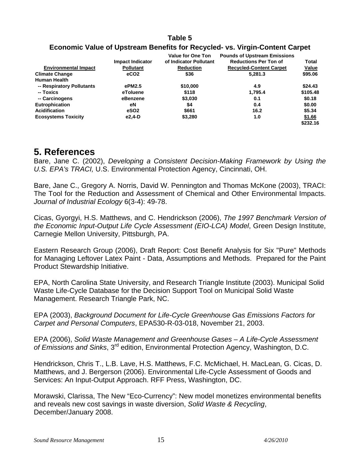#### **Table 5 Economic Value of Upstream Benefits for Recycled- vs. Virgin-Content Carpet**

|                             | <b>Impact Indicator</b> | Value for One Ton<br>of Indicator Pollutant | <b>Pounds of Upstream Emissions</b><br><b>Reductions Per Ton of</b> | Total    |
|-----------------------------|-------------------------|---------------------------------------------|---------------------------------------------------------------------|----------|
| <b>Environmental Impact</b> | <b>Pollutant</b>        | <b>Reduction</b>                            | <b>Recycled-Content Carpet</b>                                      | Value    |
| <b>Climate Change</b>       | eCO <sub>2</sub>        | \$36                                        | 5.281.3                                                             | \$95.06  |
| <b>Human Health</b>         |                         |                                             |                                                                     |          |
| -- Respiratory Pollutants   | ePM2.5                  | \$10,000                                    | 4.9                                                                 | \$24.43  |
| -- Toxics                   | eToluene                | \$118                                       | 1,795.4                                                             | \$105.48 |
| -- Carcinogens              | eBenzene                | \$3,030                                     | 0.1                                                                 | \$0.18   |
| <b>Eutrophication</b>       | eN                      | \$4                                         | 0.4                                                                 | \$0.00   |
| <b>Acidification</b>        | eSO <sub>2</sub>        | \$661                                       | 16.2                                                                | \$5.34   |
| <b>Ecosystems Toxicity</b>  | e2,4-D                  | \$3,280                                     | 1.0                                                                 | \$1.66   |
|                             |                         |                                             |                                                                     | \$232.16 |

## **5. References**

Bare, Jane C. (2002), *Developing a Consistent Decision-Making Framework by Using the U.S. EPA's TRACI,* U.S. Environmental Protection Agency, Cincinnati, OH.

Bare, Jane C., Gregory A. Norris, David W. Pennington and Thomas McKone (2003), TRACI: The Tool for the Reduction and Assessment of Chemical and Other Environmental Impacts. *Journal of Industrial Ecology* 6(3-4): 49-78.

Cicas, Gyorgyi, H.S. Matthews, and C. Hendrickson (2006), *The 1997 Benchmark Version of the Economic Input-Output Life Cycle Assessment (EIO-LCA) Model*, Green Design Institute, Carnegie Mellon University, Pittsburgh, PA.

Eastern Research Group (2006), Draft Report: Cost Benefit Analysis for Six "Pure" Methods for Managing Leftover Latex Paint - Data, Assumptions and Methods. Prepared for the Paint Product Stewardship Initiative.

EPA, North Carolina State University, and Research Triangle Institute (2003). Municipal Solid Waste Life-Cycle Database for the Decision Support Tool on Municipal Solid Waste Management. Research Triangle Park, NC.

EPA (2003), *Background Document for Life-Cycle Greenhouse Gas Emissions Factors for Carpet and Personal Computers*, EPA530-R-03-018, November 21, 2003.

EPA (2006), *Solid Waste Management and Greenhouse Gases – A Life-Cycle Assessment of Emissions and Sinks*, 3rd edition, Environmental Protection Agency, Washington, D.C.

Hendrickson, Chris T., L.B. Lave, H.S. Matthews, F.C. McMichael, H. MacLean, G. Cicas, D. Matthews, and J. Bergerson (2006). Environmental Life-Cycle Assessment of Goods and Services: An Input-Output Approach. RFF Press, Washington, DC.

Morawski, Clarissa, The New "Eco-Currency": New model monetizes environmental benefits and reveals new cost savings in waste diversion, *Solid Waste & Recycling*, December/January 2008.